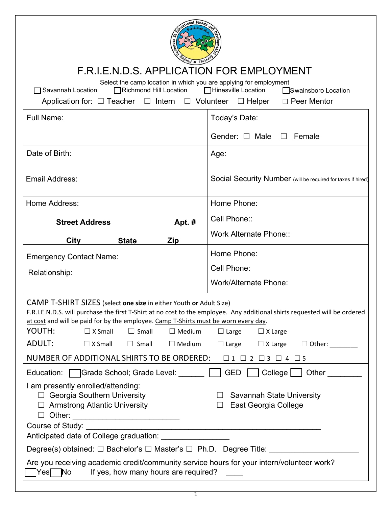| 0 <sup>53</sup><br>F.R.I.E.N.D.S. APPLICATION FOR EMPLOYMENT<br>Select the camp location in which you are applying for employment<br>□Richmond Hill Location<br>□Hinesville Location<br>Savannah Location<br>□Swainsboro Location<br>Application for: $\Box$ Teacher $\Box$ Intern $\Box$ Volunteer<br>$\Box$ Helper<br>$\Box$ Peer Mentor                                                                                                                                                                                                                                                                                                                                                                                  |                                                              |  |
|-----------------------------------------------------------------------------------------------------------------------------------------------------------------------------------------------------------------------------------------------------------------------------------------------------------------------------------------------------------------------------------------------------------------------------------------------------------------------------------------------------------------------------------------------------------------------------------------------------------------------------------------------------------------------------------------------------------------------------|--------------------------------------------------------------|--|
| Full Name:                                                                                                                                                                                                                                                                                                                                                                                                                                                                                                                                                                                                                                                                                                                  | Today's Date:                                                |  |
|                                                                                                                                                                                                                                                                                                                                                                                                                                                                                                                                                                                                                                                                                                                             | Gender: $\Box$ Male $\Box$<br>Female                         |  |
| Date of Birth:                                                                                                                                                                                                                                                                                                                                                                                                                                                                                                                                                                                                                                                                                                              | Age:                                                         |  |
| Email Address:                                                                                                                                                                                                                                                                                                                                                                                                                                                                                                                                                                                                                                                                                                              | Social Security Number (will be required for taxes if hired) |  |
| Home Address:                                                                                                                                                                                                                                                                                                                                                                                                                                                                                                                                                                                                                                                                                                               | Home Phone:                                                  |  |
| <b>Street Address</b><br>Apt. #                                                                                                                                                                                                                                                                                                                                                                                                                                                                                                                                                                                                                                                                                             | Cell Phone::                                                 |  |
| <b>City</b><br><b>State</b><br>Zip                                                                                                                                                                                                                                                                                                                                                                                                                                                                                                                                                                                                                                                                                          | Work Alternate Phone::                                       |  |
| <b>Emergency Contact Name:</b>                                                                                                                                                                                                                                                                                                                                                                                                                                                                                                                                                                                                                                                                                              | Home Phone:                                                  |  |
| Relationship:                                                                                                                                                                                                                                                                                                                                                                                                                                                                                                                                                                                                                                                                                                               | Cell Phone:                                                  |  |
|                                                                                                                                                                                                                                                                                                                                                                                                                                                                                                                                                                                                                                                                                                                             | <b>Work/Alternate Phone:</b>                                 |  |
| CAMP T-SHIRT SIZES (select one size in either Youth or Adult Size)<br>F.R.I.E.N.D.S. will purchase the first T-Shirt at no cost to the employee. Any additional shirts requested will be ordered<br>at cost and will be paid for by the employee. Camp T-Shirts must be worn every day.<br>YOUTH:<br>$\Box$ X Small<br>$\Box$ Small<br>$\Box$ Medium<br>$\Box$ Large<br>$\Box$ X Large<br><b>ADULT:</b><br>$\Box$ X Small<br>$\Box$ Small<br>$\Box$ Medium<br>$\Box$ Other:<br>$\Box$ Large<br>$\Box$ X Large<br>NUMBER OF ADDITIONAL SHIRTS TO BE ORDERED:<br>$\Box 1 \quad \Box 2 \quad \Box 3 \quad \Box 4 \quad \Box 5$<br><b>GED</b><br>$\text{Collect} \cup \text{Other} \_$<br>Education: Grade School; Grade Level: |                                                              |  |
| I am presently enrolled/attending:                                                                                                                                                                                                                                                                                                                                                                                                                                                                                                                                                                                                                                                                                          |                                                              |  |
| $\Box$ Georgia Southern University<br>$\Box$ Armstrong Atlantic University                                                                                                                                                                                                                                                                                                                                                                                                                                                                                                                                                                                                                                                  | Savannah State University<br>East Georgia College            |  |
|                                                                                                                                                                                                                                                                                                                                                                                                                                                                                                                                                                                                                                                                                                                             |                                                              |  |
| Course of Study:<br><u> 1989 - Jan James James James James James James James James James James James James James James James James J</u>                                                                                                                                                                                                                                                                                                                                                                                                                                                                                                                                                                                    |                                                              |  |
| Degree(s) obtained: □ Bachelor's □ Master's □ Ph.D. Degree Title: _____________                                                                                                                                                                                                                                                                                                                                                                                                                                                                                                                                                                                                                                             |                                                              |  |
| Are you receiving academic credit/community service hours for your intern/volunteer work?<br>]Yes∏ No<br>If yes, how many hours are required?                                                                                                                                                                                                                                                                                                                                                                                                                                                                                                                                                                               |                                                              |  |

| ۰. |
|----|
|    |
|    |
|    |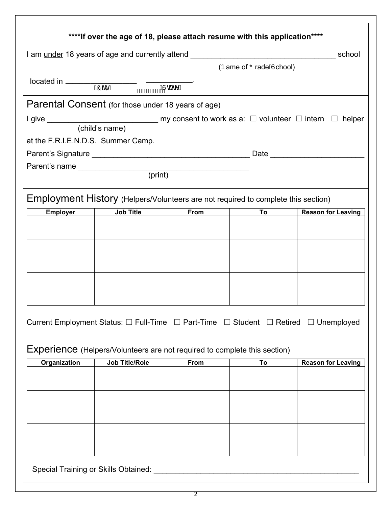|                                                                                                             |                       | ****If over the age of 18, please attach resume with this application**** |    |                           |
|-------------------------------------------------------------------------------------------------------------|-----------------------|---------------------------------------------------------------------------|----|---------------------------|
|                                                                                                             |                       |                                                                           |    | school                    |
| I am under 18 years of age and currently attend _________________________________<br>(Þame of ŐradeÁlchool) |                       |                                                                           |    |                           |
| $located in \nightharpoonup$ $\overrightarrow{Q\mathscr{X}}$ D                                              |                       |                                                                           |    |                           |
|                                                                                                             | <b>MWWWWW.COCCOOL</b> |                                                                           |    |                           |
| Parental Consent (for those under 18 years of age)                                                          |                       |                                                                           |    |                           |
|                                                                                                             |                       |                                                                           |    |                           |
|                                                                                                             |                       |                                                                           |    |                           |
| at the F.R.I.E.N.D.S. Summer Camp.                                                                          |                       |                                                                           |    |                           |
|                                                                                                             |                       |                                                                           |    |                           |
| Parent's name (print)                                                                                       |                       |                                                                           |    |                           |
|                                                                                                             |                       |                                                                           |    |                           |
| Employment History (Helpers/Volunteers are not required to complete this section)                           |                       |                                                                           |    |                           |
| <b>Employer</b>                                                                                             | <b>Job Title</b>      | From                                                                      | To | <b>Reason for Leaving</b> |
|                                                                                                             |                       |                                                                           |    |                           |
|                                                                                                             |                       |                                                                           |    |                           |
|                                                                                                             |                       |                                                                           |    |                           |
|                                                                                                             |                       |                                                                           |    |                           |
|                                                                                                             |                       |                                                                           |    |                           |
|                                                                                                             |                       |                                                                           |    |                           |
|                                                                                                             |                       |                                                                           |    |                           |
| Current Employment Status: □ Full-Time □ Part-Time □ Student □ Retired □ Unemployed                         |                       |                                                                           |    |                           |
| <b>Experience</b> (Helpers/Volunteers are not required to complete this section)                            |                       |                                                                           |    |                           |
| Organization                                                                                                | <b>Job Title/Role</b> | From                                                                      | To | <b>Reason for Leaving</b> |
|                                                                                                             |                       |                                                                           |    |                           |
|                                                                                                             |                       |                                                                           |    |                           |
|                                                                                                             |                       |                                                                           |    |                           |
|                                                                                                             |                       |                                                                           |    |                           |
|                                                                                                             |                       |                                                                           |    |                           |
|                                                                                                             |                       |                                                                           |    |                           |
| Special Training or Skills Obtained: ________                                                               |                       |                                                                           |    |                           |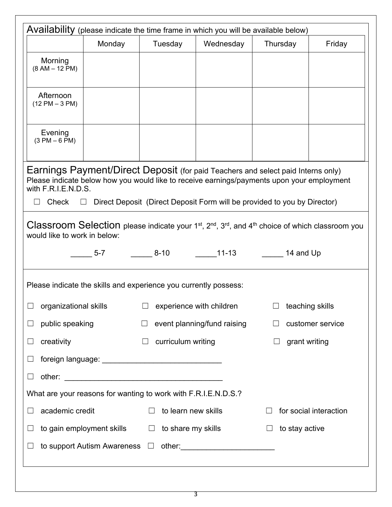|                                                                                                                                                                                                                                                                                                      |                                                                |                               |                                                     | Availability (please indicate the time frame in which you will be available below) |                        |
|------------------------------------------------------------------------------------------------------------------------------------------------------------------------------------------------------------------------------------------------------------------------------------------------------|----------------------------------------------------------------|-------------------------------|-----------------------------------------------------|------------------------------------------------------------------------------------|------------------------|
|                                                                                                                                                                                                                                                                                                      | Monday                                                         | Tuesday                       | Wednesday                                           | Thursday                                                                           | Friday                 |
| Morning<br>$(8 AM - 12 PM)$                                                                                                                                                                                                                                                                          |                                                                |                               |                                                     |                                                                                    |                        |
| Afternoon<br>$(12 PM - 3 PM)$                                                                                                                                                                                                                                                                        |                                                                |                               |                                                     |                                                                                    |                        |
| Evening<br>$(3 PM - 6 PM)$                                                                                                                                                                                                                                                                           |                                                                |                               |                                                     |                                                                                    |                        |
| Earnings Payment/Direct Deposit (for paid Teachers and select paid Interns only)<br>Please indicate below how you would like to receive earnings/payments upon your employment<br>with F.R.I.E.N.D.S.<br>Direct Deposit (Direct Deposit Form will be provided to you by Director)<br>Check<br>$\Box$ |                                                                |                               |                                                     |                                                                                    |                        |
| Classroom Selection please indicate your 1 <sup>st</sup> , 2 <sup>nd</sup> , 3 <sup>rd</sup> , and 4 <sup>th</sup> choice of which classroom you<br>would like to work in below:                                                                                                                     |                                                                |                               |                                                     |                                                                                    |                        |
|                                                                                                                                                                                                                                                                                                      | $5-7$                                                          |                               | ________ 8-10     ______11-13     _______ 14 and Up |                                                                                    |                        |
| Please indicate the skills and experience you currently possess:                                                                                                                                                                                                                                     |                                                                |                               |                                                     |                                                                                    |                        |
| organizational skills                                                                                                                                                                                                                                                                                |                                                                |                               | experience with children                            | $\Box$ teaching skills                                                             |                        |
| public speaking<br>$\Box$                                                                                                                                                                                                                                                                            |                                                                | $\Box$                        | event planning/fund raising                         |                                                                                    | customer service       |
| creativity<br>$\Box$                                                                                                                                                                                                                                                                                 |                                                                | curriculum writing<br>⊔       |                                                     | grant writing<br>$\Box$                                                            |                        |
| $\Box$                                                                                                                                                                                                                                                                                               |                                                                |                               |                                                     |                                                                                    |                        |
| $\Box$                                                                                                                                                                                                                                                                                               |                                                                |                               |                                                     |                                                                                    |                        |
|                                                                                                                                                                                                                                                                                                      | What are your reasons for wanting to work with F.R.I.E.N.D.S.? |                               |                                                     |                                                                                    |                        |
|                                                                                                                                                                                                                                                                                                      |                                                                |                               |                                                     |                                                                                    |                        |
| academic credit<br>$\Box$                                                                                                                                                                                                                                                                            |                                                                | to learn new skills<br>$\Box$ |                                                     |                                                                                    | for social interaction |
| $\sqcup$                                                                                                                                                                                                                                                                                             | to gain employment skills $\square$                            | to share my skills            |                                                     | to stay active<br>$\Box$                                                           |                        |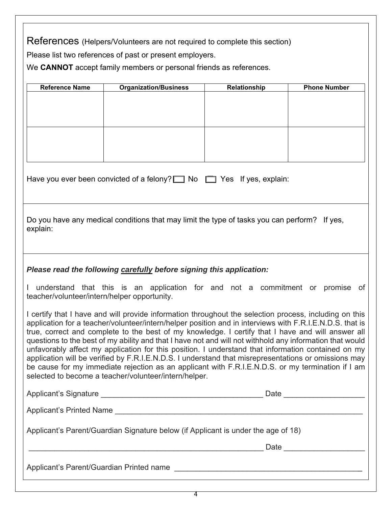References (Helpers/Volunteers are not required to complete this section)

Please list two references of past or present employers.

We **CANNOT** accept family members or personal friends as references.

| <b>Reference Name</b>                                                                                                                                                                                                                                                                                                                                                                                                                                                                                                                                                                                                                                                                                                                                                                                           | <b>Organization/Business</b> | Relationship | <b>Phone Number</b> |  |
|-----------------------------------------------------------------------------------------------------------------------------------------------------------------------------------------------------------------------------------------------------------------------------------------------------------------------------------------------------------------------------------------------------------------------------------------------------------------------------------------------------------------------------------------------------------------------------------------------------------------------------------------------------------------------------------------------------------------------------------------------------------------------------------------------------------------|------------------------------|--------------|---------------------|--|
|                                                                                                                                                                                                                                                                                                                                                                                                                                                                                                                                                                                                                                                                                                                                                                                                                 |                              |              |                     |  |
|                                                                                                                                                                                                                                                                                                                                                                                                                                                                                                                                                                                                                                                                                                                                                                                                                 |                              |              |                     |  |
|                                                                                                                                                                                                                                                                                                                                                                                                                                                                                                                                                                                                                                                                                                                                                                                                                 |                              |              |                     |  |
|                                                                                                                                                                                                                                                                                                                                                                                                                                                                                                                                                                                                                                                                                                                                                                                                                 |                              |              |                     |  |
|                                                                                                                                                                                                                                                                                                                                                                                                                                                                                                                                                                                                                                                                                                                                                                                                                 |                              |              |                     |  |
|                                                                                                                                                                                                                                                                                                                                                                                                                                                                                                                                                                                                                                                                                                                                                                                                                 |                              |              |                     |  |
|                                                                                                                                                                                                                                                                                                                                                                                                                                                                                                                                                                                                                                                                                                                                                                                                                 |                              |              |                     |  |
| Have you ever been convicted of a felony? $\Box$ No $\Box$ Yes If yes, explain:                                                                                                                                                                                                                                                                                                                                                                                                                                                                                                                                                                                                                                                                                                                                 |                              |              |                     |  |
| Do you have any medical conditions that may limit the type of tasks you can perform? If yes,<br>explain:                                                                                                                                                                                                                                                                                                                                                                                                                                                                                                                                                                                                                                                                                                        |                              |              |                     |  |
| Please read the following carefully before signing this application:<br>understand that this is an application for and not a commitment or promise of                                                                                                                                                                                                                                                                                                                                                                                                                                                                                                                                                                                                                                                           |                              |              |                     |  |
| teacher/volunteer/intern/helper opportunity.                                                                                                                                                                                                                                                                                                                                                                                                                                                                                                                                                                                                                                                                                                                                                                    |                              |              |                     |  |
| I certify that I have and will provide information throughout the selection process, including on this<br>application for a teacher/volunteer/intern/helper position and in interviews with F.R.I.E.N.D.S. that is<br>true, correct and complete to the best of my knowledge. I certify that I have and will answer all<br>questions to the best of my ability and that I have not and will not withhold any information that would<br>unfavorably affect my application for this position. I understand that information contained on my<br>application will be verified by F.R.I.E.N.D.S. I understand that misrepresentations or omissions may<br>be cause for my immediate rejection as an applicant with F.R.I.E.N.D.S. or my termination if I am<br>selected to become a teacher/volunteer/intern/helper. |                              |              |                     |  |
|                                                                                                                                                                                                                                                                                                                                                                                                                                                                                                                                                                                                                                                                                                                                                                                                                 |                              |              |                     |  |
|                                                                                                                                                                                                                                                                                                                                                                                                                                                                                                                                                                                                                                                                                                                                                                                                                 |                              |              |                     |  |
|                                                                                                                                                                                                                                                                                                                                                                                                                                                                                                                                                                                                                                                                                                                                                                                                                 |                              |              |                     |  |
| Applicant's Parent/Guardian Signature below (if Applicant is under the age of 18)                                                                                                                                                                                                                                                                                                                                                                                                                                                                                                                                                                                                                                                                                                                               |                              |              |                     |  |
|                                                                                                                                                                                                                                                                                                                                                                                                                                                                                                                                                                                                                                                                                                                                                                                                                 |                              |              |                     |  |
| <u> 1989 - Johann Stoff, deutscher Stoffen und der Stoffen und der Stoffen und der Stoffen und der Stoffen und de</u>                                                                                                                                                                                                                                                                                                                                                                                                                                                                                                                                                                                                                                                                                           |                              |              |                     |  |

4